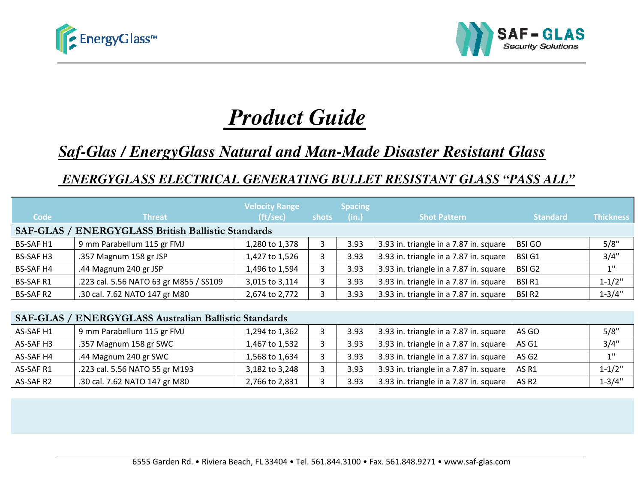



# *Product GuideGuide*

# *Saf-Glas / EnergyGlass Natural and Manand Man-Made Disaster Resistant Glass*

# *ENERGYGLASS ELECTRICAL GENERATING BULLET RESISTANT GLASS*

| <b>Code</b>      | <b>Threat</b>                                                | <b>Velocity Range</b><br>(ft/sec) | shots | <b>Spacing</b><br>(in.) | <b>Shot Pattern</b>                    | <b>Standard</b>   | <b>Thickness</b> |
|------------------|--------------------------------------------------------------|-----------------------------------|-------|-------------------------|----------------------------------------|-------------------|------------------|
|                  | <b>SAF-GLAS / ENERGYGLASS British Ballistic Standards</b>    |                                   |       |                         |                                        |                   |                  |
| <b>BS-SAF H1</b> | 9 mm Parabellum 115 gr FMJ                                   | 1,280 to 1,378                    | 3     | 3.93                    | 3.93 in. triangle in a 7.87 in. square | <b>BSI GO</b>     | 5/8"             |
| <b>BS-SAF H3</b> | .357 Magnum 158 gr JSP                                       | 1,427 to 1,526                    | 3     | 3.93                    | 3.93 in. triangle in a 7.87 in. square | <b>BSI G1</b>     | 3/4"             |
| <b>BS-SAF H4</b> | .44 Magnum 240 gr JSP                                        | 1,496 to 1,594                    | 3     | 3.93                    | 3.93 in. triangle in a 7.87 in. square | <b>BSI G2</b>     | $1$ "            |
| <b>BS-SAF R1</b> | .223 cal. 5.56 NATO 63 gr M855 / SS109                       | 3,015 to 3,114                    | 3     | 3.93                    | 3.93 in. triangle in a 7.87 in. square | <b>BSIR1</b>      | $1 - 1/2$ "      |
| <b>BS-SAF R2</b> | .30 cal. 7.62 NATO 147 gr M80                                | 2,674 to 2,772                    | 3     | 3.93                    | 3.93 in. triangle in a 7.87 in. square | <b>BSIR2</b>      | $1 - 3/4"$       |
|                  | <b>SAF-GLAS / ENERGYGLASS Australian Ballistic Standards</b> |                                   |       |                         |                                        |                   |                  |
| AS-SAF H1        | 9 mm Parabellum 115 gr FMJ                                   | 1,294 to 1,362                    | 3     | 3.93                    | 3.93 in. triangle in a 7.87 in. square | AS GO             | 5/8"             |
| AS-SAF H3        | .357 Magnum 158 gr SWC                                       | 1,467 to 1,532                    | 3     | 3.93                    | 3.93 in. triangle in a 7.87 in. square | AS G1             | 3/4"             |
| AS-SAF H4        | .44 Magnum 240 gr SWC                                        | 1,568 to 1,634                    | 3     | 3.93                    | 3.93 in. triangle in a 7.87 in. square | AS G2             | $1$ "            |
| AS-SAF R1        | .223 cal. 5.56 NATO 55 gr M193                               | 3,182 to 3,248                    | 3     | 3.93                    | 3.93 in. triangle in a 7.87 in. square | AS R1             | $1 - 1/2$ "      |
| AS-SAF R2        | .30 cal. 7.62 NATO 147 gr M80                                | 2,766 to 2,831                    | 3     | 3.93                    | 3.93 in. triangle in a 7.87 in. square | AS R <sub>2</sub> | $1 - 3/4"$       |
|                  |                                                              |                                   |       |                         |                                        |                   |                  |
|                  |                                                              |                                   |       |                         |                                        |                   |                  |
|                  |                                                              |                                   |       |                         |                                        |                   |                  |

#### **SAF-GLAS / ENERGYGLASS Australian Ballistic Standards**

| AS-SAF H1 | 9 mm Parabellum 115 gr FMJ     | 1,294 to 1,362 | 3.93 | 3.93 in. triangle in a 7.87 in. square | AS GO             | 5/8"       |
|-----------|--------------------------------|----------------|------|----------------------------------------|-------------------|------------|
| AS-SAF H3 | .357 Magnum 158 gr SWC         | L,467 to 1,532 | 3.93 | 3.93 in. triangle in a 7.87 in. square | AS G1             | 3/4"       |
| AS-SAF H4 | .44 Magnum 240 gr SWC          | L,568 to 1,634 | 3.93 | 3.93 in. triangle in a 7.87 in. square | AS G <sub>2</sub> | 11         |
| AS-SAF R1 | .223 cal. 5.56 NATO 55 gr M193 | 3,182 to 3,248 | 3.93 | 3.93 in. triangle in a 7.87 in. square | AS R1             | $1 - 1/2"$ |
| AS-SAF R2 | .30 cal. 7.62 NATO 147 gr M80  | 2,766 to 2,831 | 3.93 | 3.93 in. triangle in a 7.87 in. square | AS R <sub>2</sub> | $1 - 3/4"$ |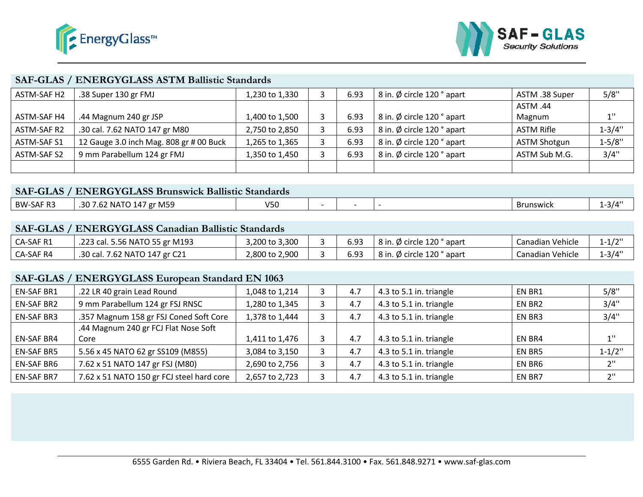



#### **SAF-GLAS / ENERGYGLASS ASTM Ballistic StandardsStandards**

| ASTM-SAF H2 | .38 Super 130 gr FMJ                    | 1,230 to 1,330 | 6.93 | 8 in. Ø circle 120 ° apart | ASTM .38 Super      | 5/8"       |
|-------------|-----------------------------------------|----------------|------|----------------------------|---------------------|------------|
|             |                                         |                |      |                            | ASTM .44            |            |
| ASTM-SAF H4 | .44 Magnum 240 gr JSP                   | 1,400 to 1,500 | 6.93 | 8 in. Ø circle 120 ° apart | Magnum              | 11         |
| ASTM-SAF R2 | .30 cal. 7.62 NATO 147 gr M80           | 2,750 to 2,850 | 6.93 | 8 in. Ø circle 120 ° apart | <b>ASTM Rifle</b>   | $1 - 3/4"$ |
| ASTM-SAF S1 | 12 Gauge 3.0 inch Mag. 808 gr # 00 Buck | 1,265 to 1,365 | 6.93 | 8 in. Ø circle 120 ° apart | <b>ASTM Shotgun</b> | $1 - 5/8"$ |
| ASTM-SAF S2 | 9 mm Parabellum 124 gr FMJ              | 1,350 to 1,450 | 6.93 | 8 in. Ø circle 120 ° apart | ASTM Sub M.G.       | 3/4"       |
|             |                                         |                |      |                            |                     |            |

#### **SAF-GLAS / ENERGYGLASS Brunswick Ballistic Standards**

| <b>BW-SAF R3</b> | gr M59<br>.<br>ົາ ^ =<br>NA I<br>144<br>7.UZ<br>.JU | いち<br>しつし |  |  |  | Brunswick | $-3/\Delta$ |  |  |  |  |
|------------------|-----------------------------------------------------|-----------|--|--|--|-----------|-------------|--|--|--|--|
|                  |                                                     |           |  |  |  |           |             |  |  |  |  |

#### **SAF-GLAS / ENERGYGLASS Canadian Ballistic StandardsBallistic**

| CA-SAF R1 | .223 cal. 5.56 NATO 55 gr M193 | 3,200 to 3,300 | 6.93 | 8 in. Ø circle 120 ° apart | Canadian Vehicle | $1 - 1/2$       |
|-----------|--------------------------------|----------------|------|----------------------------|------------------|-----------------|
| CA-SAF R4 | .30 cal. 7.62 NATO 147 gr C21  | 2,800 to 2,900 | 6.93 | 8 in. Ø circle 120 ° apart | Canadian Vehicle | $1 - 3/\Delta'$ |

#### **SAF-GLAS / ENERGYGLASS European Standard EN 1063**

| ASTM-SAF H2        | .38 Super 130 gr FMJ                                        | 1,230 to 1,330 | 3                        | 6.93                     | 8 in. Ø circle 120 ° apart                                                                           | ASTM .38 Super      | 5/8"        |
|--------------------|-------------------------------------------------------------|----------------|--------------------------|--------------------------|------------------------------------------------------------------------------------------------------|---------------------|-------------|
|                    |                                                             |                |                          |                          |                                                                                                      | ASTM .44            |             |
| <b>ASTM-SAF H4</b> | .44 Magnum 240 gr JSP                                       | 1,400 to 1,500 | 3                        | 6.93                     | 8 in. Ø circle 120 ° apart                                                                           | Magnum              | 1"          |
| ASTM-SAF R2        | .30 cal. 7.62 NATO 147 gr M80                               | 2,750 to 2,850 | 3                        | 6.93                     | 8 in. Ø circle 120 ° apart                                                                           | <b>ASTM Rifle</b>   | $1 - 3/4"$  |
| ASTM-SAF S1        | 12 Gauge 3.0 inch Mag. 808 gr # 00 Buck                     | 1,265 to 1,365 | 3                        | 6.93                     | 8 in. Ø circle 120 ° apart                                                                           | <b>ASTM Shotgun</b> | $1 - 5/8"$  |
| <b>ASTM-SAF S2</b> | 9 mm Parabellum 124 gr FMJ                                  | 1,350 to 1,450 | $\overline{3}$           | 6.93                     | 8 in. Ø circle 120 ° apart                                                                           | ASTM Sub M.G.       | 3/4"        |
|                    |                                                             |                |                          |                          |                                                                                                      |                     |             |
|                    |                                                             |                |                          |                          |                                                                                                      |                     |             |
|                    | <b>SAF-GLAS / ENERGYGLASS Brunswick Ballistic Standards</b> |                |                          |                          |                                                                                                      |                     |             |
| <b>BW-SAF R3</b>   | .30 7.62 NATO 147 gr M59                                    | V50            | $\overline{\phantom{a}}$ | $\overline{\phantom{a}}$ | $\frac{1}{2}$                                                                                        | <b>Brunswick</b>    | $1 - 3/4"$  |
|                    |                                                             |                |                          |                          |                                                                                                      |                     |             |
|                    | <b>SAF-GLAS / ENERGYGLASS Canadian Ballistic Standards</b>  |                |                          |                          |                                                                                                      |                     |             |
| CA-SAF R1          | .223 cal. 5.56 NATO 55 gr M193                              | 3,200 to 3,300 | 3                        | 6.93                     | 8 in. Ø circle 120 ° apart                                                                           | Canadian Vehicle    | $1 - 1/2$ " |
| CA-SAF R4          | .30 cal. 7.62 NATO 147 gr C21                               | 2,800 to 2,900 | 3                        | 6.93                     | 8 in. Ø circle 120 ° apart                                                                           | Canadian Vehicle    | $1 - 3/4"$  |
|                    |                                                             |                |                          |                          |                                                                                                      |                     |             |
|                    | <b>SAF-GLAS / ENERGYGLASS European Standard EN 1063</b>     |                |                          |                          |                                                                                                      |                     |             |
| <b>EN-SAF BR1</b>  | .22 LR 40 grain Lead Round                                  | 1,048 to 1,214 | 3                        | 4.7                      | 4.3 to 5.1 in. triangle                                                                              | EN BR1              | 5/8"        |
| <b>EN-SAF BR2</b>  | 9 mm Parabellum 124 gr FSJ RNSC                             | 1,280 to 1,345 | 3                        | 4.7                      | 4.3 to 5.1 in. triangle                                                                              | EN BR2              | 3/4"        |
| <b>EN-SAF BR3</b>  | .357 Magnum 158 gr FSJ Coned Soft Core                      | 1,378 to 1,444 | 3                        | 4.7                      | 4.3 to 5.1 in. triangle                                                                              | EN BR3              | 3/4"        |
|                    | .44 Magnum 240 gr FCJ Flat Nose Soft                        |                |                          |                          |                                                                                                      |                     |             |
| <b>EN-SAF BR4</b>  | Core                                                        | 1,411 to 1,476 | 3                        | 4.7                      | 4.3 to 5.1 in. triangle                                                                              | EN BR4              | 1"          |
| <b>EN-SAF BR5</b>  | 5.56 x 45 NATO 62 gr SS109 (M855)                           | 3,084 to 3,150 | 3                        | 4.7                      | 4.3 to 5.1 in. triangle                                                                              | EN BR5              | $1 - 1/2$ " |
| <b>EN-SAF BR6</b>  | 7.62 x 51 NATO 147 gr FSJ (M80)                             | 2,690 to 2,756 | 3                        | 4.7                      | 4.3 to 5.1 in. triangle                                                                              | EN BR6              | 2"          |
| <b>EN-SAF BR7</b>  | 7.62 x 51 NATO 150 gr FCJ steel hard core                   | 2,657 to 2,723 | 3                        | 4.7                      | 4.3 to 5.1 in. triangle                                                                              | EN BR7              | $2$ "       |
|                    |                                                             |                |                          |                          |                                                                                                      |                     |             |
|                    |                                                             |                |                          |                          |                                                                                                      |                     |             |
|                    |                                                             |                |                          |                          |                                                                                                      |                     |             |
|                    |                                                             |                |                          |                          |                                                                                                      |                     |             |
|                    |                                                             |                |                          |                          |                                                                                                      |                     |             |
|                    |                                                             |                |                          |                          |                                                                                                      |                     |             |
|                    |                                                             |                |                          |                          | 6555 Garden Rd. • Riviera Beach, FL 33404 • Tel. 561.844.3100 • Fax. 561.848.9271 • www.saf-glas.com |                     |             |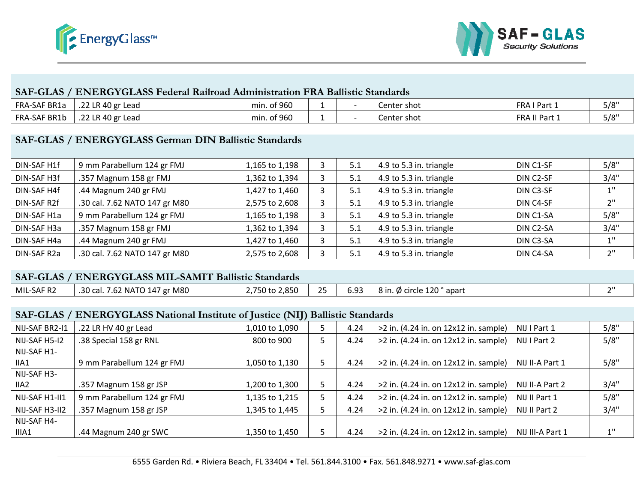



#### **SAF-GLAS / ENERGYGLASS Federal Railroad Administration FRA Ballistic StandardsFederal Railroad**

| FRA-SAF BR1a | .22 LR 40 gr Lead | min. of 960 |  | Center shot | FRA<br>Part <sub>-</sub> | 5/8" |
|--------------|-------------------|-------------|--|-------------|--------------------------|------|
| FRA-SAF BR1b | .22 LR 40 gr Lead | min. of 960 |  | Center shot | <b>FRA II Part</b> 1     | 5/8" |

#### **SAF-GLAS / ENERGYGLASS German DIN Ballistic Standards**

| DIN-SAF H1f | 9 mm Parabellum 124 gr FMJ    | 1,165 to 1,198 | 5.1 | 4.9 to 5.3 in. triangle | DIN C1-SF              | 5/8" |
|-------------|-------------------------------|----------------|-----|-------------------------|------------------------|------|
| DIN-SAF H3f | .357 Magnum 158 gr FMJ        | 1,362 to 1,394 | 5.1 | 4.9 to 5.3 in. triangle | DIN C2-SF              | 3/4" |
| DIN-SAF H4f | .44 Magnum 240 gr FMJ         | 1,427 to 1,460 | 5.1 | 4.9 to 5.3 in. triangle | DIN C3-SF              | 1''  |
| DIN-SAF R2f | .30 cal. 7.62 NATO 147 gr M80 | 2,575 to 2,608 | 5.1 | 4.9 to 5.3 in. triangle | DIN C4-SF              | 2"   |
| DIN-SAF H1a | 9 mm Parabellum 124 gr FMJ    | 1,165 to 1,198 | 5.1 | 4.9 to 5.3 in. triangle | DIN C1-SA              | 5/8" |
| DIN-SAF H3a | .357 Magnum 158 gr FMJ        | 1,362 to 1,394 | 5.1 | 4.9 to 5.3 in. triangle | DIN C <sub>2</sub> -SA | 3/4" |
| DIN-SAF H4a | .44 Magnum 240 gr FMJ         | 1,427 to 1,460 | 5.1 | 4.9 to 5.3 in. triangle | DIN C3-SA              | 11   |
| DIN-SAF R2a | .30 cal. 7.62 NATO 147 gr M80 | 2,575 to 2,608 | 5.1 | 4.9 to 5.3 in. triangle | DIN C4-SA              | ייר  |

| <b>SAF-GLAS / ENERGYGLASS MIL-SAMIT Ballistic Standards</b> |                               |                |             |  |                                   |  |        |  |
|-------------------------------------------------------------|-------------------------------|----------------|-------------|--|-----------------------------------|--|--------|--|
| MIL-SAF R2                                                  | .30 cal. 7.62 NATO 147 gr M80 | 2,750 to 2,850 | $\sqrt{25}$ |  | 6.93   8 in. Ø circle 120 ° apart |  | $\sim$ |  |

#### **SAF-GLAS / ENERGYGLASS National Institute of Justice (NIJ) Ballistic Standards**

| FRA-SAF BR1a                                                | .22 LR 40 gr Lead                                                                                    | min. of 960    | 1              |      | Center shot                           | FRAIPart 1       | 5/8"        |  |  |  |  |
|-------------------------------------------------------------|------------------------------------------------------------------------------------------------------|----------------|----------------|------|---------------------------------------|------------------|-------------|--|--|--|--|
| FRA-SAF BR1b                                                | .22 LR 40 gr Lead                                                                                    | min. of 960    | 1              |      | Center shot                           | FRA II Part 1    | 5/8"        |  |  |  |  |
|                                                             | SAF-GLAS / ENERGYGLASS German DIN Ballistic Standards                                                |                |                |      |                                       |                  |             |  |  |  |  |
| DIN-SAF H1f                                                 | 9 mm Parabellum 124 gr FMJ                                                                           | 1,165 to 1,198 | 3              | 5.1  | 4.9 to 5.3 in. triangle               | DIN C1-SF        | 5/8"        |  |  |  |  |
| DIN-SAF H3f                                                 | .357 Magnum 158 gr FMJ                                                                               | 1,362 to 1,394 | 3              | 5.1  | 4.9 to 5.3 in. triangle               | DIN C2-SF        | 3/4"        |  |  |  |  |
| DIN-SAF H4f                                                 | .44 Magnum 240 gr FMJ                                                                                | 1,427 to 1,460 | 3              | 5.1  | 4.9 to 5.3 in. triangle               | DIN C3-SF        | $1^{\rm n}$ |  |  |  |  |
| DIN-SAF R2f                                                 | .30 cal. 7.62 NATO 147 gr M80                                                                        | 2,575 to 2,608 | $\overline{3}$ | 5.1  | 4.9 to 5.3 in. triangle               | DIN C4-SF        | 2"          |  |  |  |  |
| DIN-SAF H1a                                                 | 9 mm Parabellum 124 gr FMJ                                                                           | 1,165 to 1,198 | 3              | 5.1  | 4.9 to 5.3 in. triangle               | DIN C1-SA        | 5/8"        |  |  |  |  |
| DIN-SAF H3a                                                 | .357 Magnum 158 gr FMJ                                                                               | 1,362 to 1,394 | 3              | 5.1  | 4.9 to 5.3 in. triangle               | DIN C2-SA        | 3/4"        |  |  |  |  |
| DIN-SAF H4a                                                 | .44 Magnum 240 gr FMJ                                                                                | 1,427 to 1,460 | 3              | 5.1  | 4.9 to 5.3 in. triangle               | DIN C3-SA        | 1"          |  |  |  |  |
| DIN-SAF R2a                                                 | .30 cal. 7.62 NATO 147 gr M80                                                                        | 2,575 to 2,608 | 3              | 5.1  | 4.9 to 5.3 in. triangle               | DIN C4-SA        | $2"$        |  |  |  |  |
| <b>SAF-GLAS / ENERGYGLASS MIL-SAMIT Ballistic Standards</b> |                                                                                                      |                |                |      |                                       |                  |             |  |  |  |  |
| MIL-SAF R2                                                  | .30 cal. 7.62 NATO 147 gr M80                                                                        | 2,750 to 2,850 | 25             | 6.93 | 8 in. Ø circle 120 ° apart            |                  | 2"          |  |  |  |  |
|                                                             | SAF-GLAS / ENERGYGLASS National Institute of Justice (NIJ) Ballistic Standards                       |                |                |      |                                       |                  |             |  |  |  |  |
| NIJ-SAF BR2-I1                                              | .22 LR HV 40 gr Lead                                                                                 | 1,010 to 1,090 | 5              | 4.24 | >2 in. (4.24 in. on 12x12 in. sample) | NIJ I Part 1     | 5/8"        |  |  |  |  |
| NIJ-SAF H5-I2                                               | .38 Special 158 gr RNL                                                                               | 800 to 900     | 5              | 4.24 | >2 in. (4.24 in. on 12x12 in. sample) | NIJ I Part 2     | 5/8"        |  |  |  |  |
| NIJ-SAF H1-<br>IIA1                                         | 9 mm Parabellum 124 gr FMJ                                                                           | 1,050 to 1,130 | 5              | 4.24 | >2 in. (4.24 in. on 12x12 in. sample) | NIJ II-A Part 1  | 5/8"        |  |  |  |  |
| NIJ-SAF H3-<br>IIA <sub>2</sub>                             | .357 Magnum 158 gr JSP                                                                               | 1,200 to 1,300 | 5              | 4.24 | >2 in. (4.24 in. on 12x12 in. sample) | NIJ II-A Part 2  | 3/4"        |  |  |  |  |
| NIJ-SAF H1-II1                                              | 9 mm Parabellum 124 gr FMJ                                                                           | 1,135 to 1,215 | 5              | 4.24 | >2 in. (4.24 in. on 12x12 in. sample) | NIJ II Part 1    | 5/8"        |  |  |  |  |
| NIJ-SAF H3-II2                                              | .357 Magnum 158 gr JSP                                                                               | 1,345 to 1,445 | 5              | 4.24 | >2 in. (4.24 in. on 12x12 in. sample) | NIJ II Part 2    | 3/4"        |  |  |  |  |
| NIJ-SAF H4-<br>IIIA1                                        | .44 Magnum 240 gr SWC                                                                                | 1,350 to 1,450 | 5              | 4.24 | >2 in. (4.24 in. on 12x12 in. sample) | NIJ III-A Part 1 | $1^{\rm n}$ |  |  |  |  |
|                                                             | 6555 Garden Rd. • Riviera Beach, FL 33404 • Tel. 561.844.3100 • Fax. 561.848.9271 • www.saf-glas.com |                |                |      |                                       |                  |             |  |  |  |  |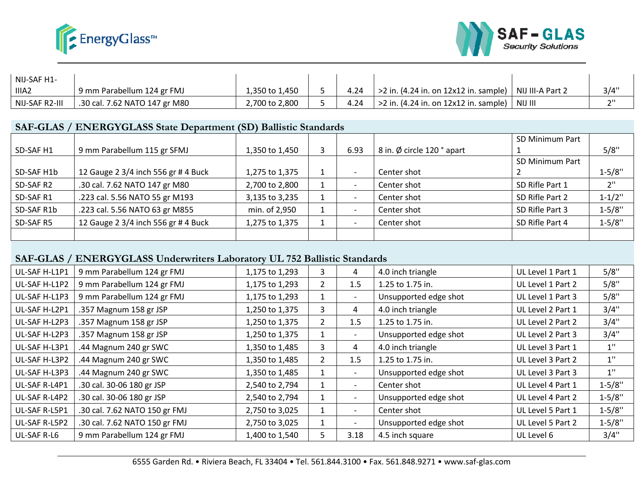



| NIJ-SAF H1-       |                               |                |      |                                                             |         |      |
|-------------------|-------------------------------|----------------|------|-------------------------------------------------------------|---------|------|
| IIIA <sub>2</sub> | 9 mm Parabellum 124 gr FMJ    | 1,350 to 1,450 | 4.24 | $>$ 2 in. (4.24 in. on 12x12 in. sample)   NIJ III-A Part 2 |         | 3/4" |
| NIJ-SAF R2-III    | .30 cal. 7.62 NATO 147 gr M80 | 2,700 to 2,800 | 4.24 | $\ge$ 2 in. (4.24 in. on 12x12 in. sample) $\frac{1}{2}$    | NIJ III | ייר  |

#### **SAF-GLAS / ENERGYGLASS State Department (SD) Ballistic StandardsState Ballistic**

|            |                                     |                |      |                            | SD Minimum Part |             |
|------------|-------------------------------------|----------------|------|----------------------------|-----------------|-------------|
| SD-SAF H1  | 9 mm Parabellum 115 gr SFMJ         | 1,350 to 1,450 | 6.93 | 8 in. Ø circle 120 ° apart |                 | 5/8"        |
|            |                                     |                |      |                            | SD Minimum Part |             |
| SD-SAF H1b | 12 Gauge 2 3/4 inch 556 gr # 4 Buck | 1,275 to 1,375 |      | Center shot                |                 | $1 - 5/8"$  |
| SD-SAF R2  | .30 cal. 7.62 NATO 147 gr M80       | 2,700 to 2,800 |      | Center shot                | SD Rifle Part 1 | 2"          |
| SD-SAF R1  | .223 cal. 5.56 NATO 55 gr M193      | 3,135 to 3,235 |      | Center shot                | SD Rifle Part 2 | $1 - 1/2$ " |
| SD-SAF R1b | .223 cal. 5.56 NATO 63 gr M855      | min. of 2,950  |      | Center shot                | SD Rifle Part 3 | $1 - 5/8"$  |
| SD-SAF R5  | 12 Gauge 2 3/4 inch 556 gr # 4 Buck | 1,275 to 1,375 |      | Center shot                | SD Rifle Part 4 | $1 - 5/8"$  |
|            |                                     |                |      |                            |                 |             |

#### **SAF-GLAS / ENERGYGLASS Underwriters Laboratory UL 752 Ballistic Standards**

| IIIA <sub>2</sub> | 9 mm Parabellum 124 gr FMJ                                                | 1,350 to 1,450 | 5.             | 4.24                     | $>2$ in. (4.24 in. on 12x12 in. sample)                                                              | NIJ III-A Part 2  | 3/4"        |
|-------------------|---------------------------------------------------------------------------|----------------|----------------|--------------------------|------------------------------------------------------------------------------------------------------|-------------------|-------------|
| NIJ-SAF R2-III    | .30 cal. 7.62 NATO 147 gr M80                                             | 2,700 to 2,800 | 5              | 4.24                     | >2 in. (4.24 in. on 12x12 in. sample)                                                                | NIJ III           | 2"          |
|                   |                                                                           |                |                |                          |                                                                                                      |                   |             |
|                   | SAF-GLAS / ENERGYGLASS State Department (SD) Ballistic Standards          |                |                |                          |                                                                                                      |                   |             |
|                   |                                                                           |                |                |                          |                                                                                                      | SD Minimum Part   |             |
| SD-SAF H1         | 9 mm Parabellum 115 gr SFMJ                                               | 1,350 to 1,450 | 3              | 6.93                     | 8 in. Ø circle 120 ° apart                                                                           |                   | 5/8"        |
|                   |                                                                           |                |                |                          |                                                                                                      | SD Minimum Part   |             |
| SD-SAF H1b        | 12 Gauge 2 3/4 inch 556 gr # 4 Buck                                       | 1,275 to 1,375 | 1              | $\overline{\phantom{a}}$ | Center shot                                                                                          | 2                 | $1 - 5/8"$  |
| SD-SAF R2         | .30 cal. 7.62 NATO 147 gr M80                                             | 2,700 to 2,800 | $\mathbf{1}$   |                          | Center shot                                                                                          | SD Rifle Part 1   | 2"          |
| SD-SAF R1         | .223 cal. 5.56 NATO 55 gr M193                                            | 3,135 to 3,235 | $\mathbf{1}$   | $\overline{\phantom{a}}$ | Center shot                                                                                          | SD Rifle Part 2   | $1 - 1/2$ " |
| SD-SAF R1b        | .223 cal. 5.56 NATO 63 gr M855                                            | min. of 2,950  | $\mathbf{1}$   |                          | Center shot                                                                                          | SD Rifle Part 3   | $1 - 5/8"$  |
| SD-SAF R5         | 12 Gauge 2 3/4 inch 556 gr # 4 Buck                                       | 1,275 to 1,375 | $\mathbf{1}$   |                          | Center shot                                                                                          | SD Rifle Part 4   | $1 - 5/8"$  |
|                   |                                                                           |                |                |                          |                                                                                                      |                   |             |
|                   | SAF-GLAS / ENERGYGLASS Underwriters Laboratory UL 752 Ballistic Standards |                |                |                          |                                                                                                      |                   |             |
| UL-SAF H-L1P1     | 9 mm Parabellum 124 gr FMJ                                                | 1,175 to 1,293 | 3              | 4                        | 4.0 inch triangle                                                                                    | UL Level 1 Part 1 | 5/8"        |
| UL-SAF H-L1P2     | 9 mm Parabellum 124 gr FMJ                                                | 1,175 to 1,293 | $\overline{2}$ | 1.5                      | 1.25 to 1.75 in.                                                                                     | UL Level 1 Part 2 | 5/8"        |
| UL-SAF H-L1P3     | 9 mm Parabellum 124 gr FMJ                                                | 1,175 to 1,293 | $\mathbf{1}$   |                          | Unsupported edge shot                                                                                | UL Level 1 Part 3 | 5/8"        |
| UL-SAF H-L2P1     | .357 Magnum 158 gr JSP                                                    | 1,250 to 1,375 | 3              | 4                        | 4.0 inch triangle                                                                                    | UL Level 2 Part 1 | 3/4"        |
| UL-SAF H-L2P3     | .357 Magnum 158 gr JSP                                                    | 1,250 to 1,375 | $\overline{2}$ | 1.5                      | 1.25 to 1.75 in.                                                                                     | UL Level 2 Part 2 | 3/4"        |
| UL-SAF H-L2P3     | .357 Magnum 158 gr JSP                                                    | 1,250 to 1,375 | $\mathbf{1}$   | $\blacksquare$           | Unsupported edge shot                                                                                | UL Level 2 Part 3 | 3/4"        |
| UL-SAF H-L3P1     | .44 Magnum 240 gr SWC                                                     | 1,350 to 1,485 | 3              | 4                        | 4.0 inch triangle                                                                                    | UL Level 3 Part 1 | $1"$        |
| UL-SAF H-L3P2     | .44 Magnum 240 gr SWC                                                     | 1,350 to 1,485 | $\overline{2}$ | 1.5                      | 1.25 to 1.75 in.                                                                                     | UL Level 3 Part 2 | $1^{\rm n}$ |
| UL-SAF H-L3P3     | .44 Magnum 240 gr SWC                                                     | 1,350 to 1,485 | 1              | $\overline{\phantom{a}}$ | Unsupported edge shot                                                                                | UL Level 3 Part 3 | $1^{\rm n}$ |
| UL-SAF R-L4P1     | .30 cal. 30-06 180 gr JSP                                                 | 2,540 to 2,794 | $\mathbf{1}$   | $\blacksquare$           | Center shot                                                                                          | UL Level 4 Part 1 | $1 - 5/8"$  |
| UL-SAF R-L4P2     | .30 cal. 30-06 180 gr JSP                                                 | 2,540 to 2,794 | 1              | $\overline{\phantom{a}}$ | Unsupported edge shot                                                                                | UL Level 4 Part 2 | $1 - 5/8"$  |
| UL-SAF R-L5P1     | .30 cal. 7.62 NATO 150 gr FMJ                                             | 2,750 to 3,025 | $\mathbf{1}$   | $\overline{\phantom{a}}$ | Center shot                                                                                          | UL Level 5 Part 1 | $1 - 5/8"$  |
| UL-SAF R-L5P2     | .30 cal. 7.62 NATO 150 gr FMJ                                             | 2,750 to 3,025 | $\mathbf{1}$   |                          | Unsupported edge shot                                                                                | UL Level 5 Part 2 | $1 - 5/8"$  |
| UL-SAF R-L6       | 9 mm Parabellum 124 gr FMJ                                                | 1,400 to 1,540 | 5              | 3.18                     | 4.5 inch square                                                                                      | UL Level 6        | 3/4"        |
|                   |                                                                           |                |                |                          |                                                                                                      |                   |             |
|                   |                                                                           |                |                |                          | 6555 Garden Rd. • Riviera Beach, FL 33404 • Tel. 561.844.3100 • Fax. 561.848.9271 • www.saf-glas.com |                   |             |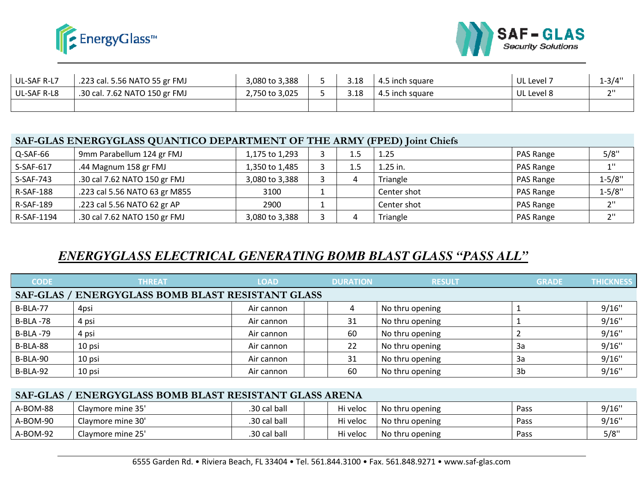



| UL-SAF R-L7 | .223 cal. 5.56 NATO 55 gr FMJ | 3,080 to 3,388 | 3.18 | 4.5 inch square | UL Level 7 | $1 - 3/4"$ |
|-------------|-------------------------------|----------------|------|-----------------|------------|------------|
| UL-SAF R-L8 | .30 cal. 7.62 NATO 150 gr FMJ | 2,750 to 3,025 | 3.18 | 4.5 inch square | UL Level 8 | ייר        |
|             |                               |                |      |                 |            |            |

#### <code>SAF-GLAS</code> ENERGYGLASS QUANTICO DEPARTMENT OF THE ARMY (FPED) Joint Chiefs</code>

| Q-SAF-66         | 9mm Parabellum 124 gr FMJ     | 1,175 to 1,293 |  | 1.25        | PAS Range | 5/8"       |
|------------------|-------------------------------|----------------|--|-------------|-----------|------------|
| S-SAF-617        | .44 Magnum 158 gr FMJ         | 1,350 to 1,485 |  | $1.25$ in.  | PAS Range |            |
| S-SAF-743        | .30 cal 7.62 NATO 150 gr FMJ  | 3,080 to 3,388 |  | Triangle    | PAS Range | $1 - 5/8"$ |
| <b>R-SAF-188</b> | .223 cal 5.56 NATO 63 gr M855 | 3100           |  | Center shot | PAS Range | $1 - 5/8"$ |
| R-SAF-189        | .223 cal 5.56 NATO 62 gr AP   | 2900           |  | Center shot | PAS Range | ייר        |
| R-SAF-1194       | .30 cal 7.62 NATO 150 gr FMJ  | 3,080 to 3,388 |  | Triangle    | PAS Range |            |

# *ENERGYGLASS ELECTRICAL GENERATING BOMB BLAST GLASS "PASS ALL"*

| UL-SAF R-L7     | .223 cal. 5.56 NATO 55 gr FMJ                                            | 3,080 to 3,388 | 5              | 3.18            | 4.5 inch square                                                                                      | UL Level 7     | $1 - 3/4"$       |
|-----------------|--------------------------------------------------------------------------|----------------|----------------|-----------------|------------------------------------------------------------------------------------------------------|----------------|------------------|
| UL-SAF R-L8     | .30 cal. 7.62 NATO 150 gr FMJ                                            | 2,750 to 3,025 | 5              | 3.18            | 4.5 inch square                                                                                      | UL Level 8     | 2"               |
|                 |                                                                          |                |                |                 |                                                                                                      |                |                  |
|                 |                                                                          |                |                |                 |                                                                                                      |                |                  |
|                 |                                                                          |                |                |                 |                                                                                                      |                |                  |
|                 | SAF-GLAS ENERGYGLASS QUANTICO DEPARTMENT OF THE ARMY (FPED) Joint Chiefs |                |                |                 |                                                                                                      |                |                  |
| Q-SAF-66        | 9mm Parabellum 124 gr FMJ                                                | 1,175 to 1,293 | 3              | 1.5             | 1.25                                                                                                 | PAS Range      | 5/8"             |
| S-SAF-617       | .44 Magnum 158 gr FMJ                                                    | 1,350 to 1,485 | 3              | 1.5             | 1.25 in.                                                                                             | PAS Range      | $1^{\rm n}$      |
| S-SAF-743       | .30 cal 7.62 NATO 150 gr FMJ                                             | 3,080 to 3,388 | $\overline{3}$ | $\overline{4}$  | Triangle                                                                                             | PAS Range      | $1 - 5/8"$       |
| R-SAF-188       | .223 cal 5.56 NATO 63 gr M855                                            | 3100           | $1\,$          |                 | Center shot                                                                                          | PAS Range      | $1 - 5/8"$       |
| R-SAF-189       | .223 cal 5.56 NATO 62 gr AP                                              | 2900           | $\mathbf{1}$   |                 | Center shot                                                                                          | PAS Range      | 2"               |
| R-SAF-1194      | .30 cal 7.62 NATO 150 gr FMJ                                             | 3,080 to 3,388 | $\overline{3}$ | $\overline{4}$  | Triangle                                                                                             | PAS Range      | $2$ "            |
|                 |                                                                          |                |                |                 |                                                                                                      |                |                  |
|                 |                                                                          |                |                |                 |                                                                                                      |                |                  |
|                 |                                                                          |                |                |                 |                                                                                                      |                |                  |
|                 | ENERGYGLASS ELECTRICAL GENERATING BOMB BLAST GLASS "PASS ALL"            |                |                |                 |                                                                                                      |                |                  |
|                 |                                                                          |                |                |                 |                                                                                                      |                |                  |
| <b>CODE</b>     | <b>THREAT</b>                                                            | <b>LOAD</b>    |                | <b>DURATION</b> | <b>RESULT</b>                                                                                        | <b>GRADE</b>   | <b>THICKNESS</b> |
|                 | <b>SAF-GLAS / ENERGYGLASS BOMB BLAST RESISTANT GLASS</b>                 |                |                |                 |                                                                                                      |                |                  |
| <b>B-BLA-77</b> | 4psi                                                                     | Air cannon     |                | $\overline{4}$  | No thru opening                                                                                      | $\mathbf{1}$   | 9/16"            |
| <b>B-BLA-78</b> | 4 psi                                                                    | Air cannon     |                | 31              | No thru opening                                                                                      | $\mathbf 1$    | 9/16"            |
| <b>B-BLA-79</b> | 4 psi                                                                    | Air cannon     |                | 60              | No thru opening                                                                                      | $\overline{2}$ | 9/16"            |
| B-BLA-88        | 10 psi                                                                   | Air cannon     |                | 22              | No thru opening                                                                                      | 3a             | 9/16"            |
| B-BLA-90        | 10 psi                                                                   | Air cannon     |                | 31              | No thru opening                                                                                      | 3a             | 9/16"            |
| B-BLA-92        | 10 psi                                                                   | Air cannon     |                | 60              | No thru opening                                                                                      | 3 <sub>b</sub> | 9/16"            |
|                 |                                                                          |                |                |                 |                                                                                                      |                |                  |
|                 | SAF-GLAS / ENERGYGLASS BOMB BLAST RESISTANT GLASS ARENA                  |                |                |                 |                                                                                                      |                |                  |
| A-BOM-88        | Claymore mine 35'                                                        | .30 cal ball   |                | Hi veloc        | No thru opening                                                                                      | Pass           | 9/16"            |
| A-BOM-90        | Claymore mine 30'                                                        | .30 cal ball   |                | Hi veloc        | No thru opening                                                                                      | Pass           | 9/16"            |
| A-BOM-92        | Claymore mine 25'                                                        | .30 cal ball   |                | Hi veloc        | No thru opening                                                                                      | Pass           | 5/8"             |
|                 |                                                                          |                |                |                 |                                                                                                      |                |                  |
|                 |                                                                          |                |                |                 | 6555 Garden Rd. • Riviera Beach, FL 33404 • Tel. 561.844.3100 • Fax. 561.848.9271 • www.saf-glas.com |                |                  |

#### **SAF-GLAS / ENERGYGLASS BOMB BLAST RESISTANT GLASS ARENAGLASS**

| A-BOM-88 | Claymore mine 35' | .30 cal ball | Hi veloc | No thru opening | Pass | 9/16" |
|----------|-------------------|--------------|----------|-----------------|------|-------|
| A-BOM-90 | Claymore mine 30' | .30 cal ball | Hi veloc | No thru opening | Pass | 9/16" |
| A-BOM-92 | Claymore mine 25' | .30 cal ball | Hi veloc | No thru opening | Pass | 5/8"  |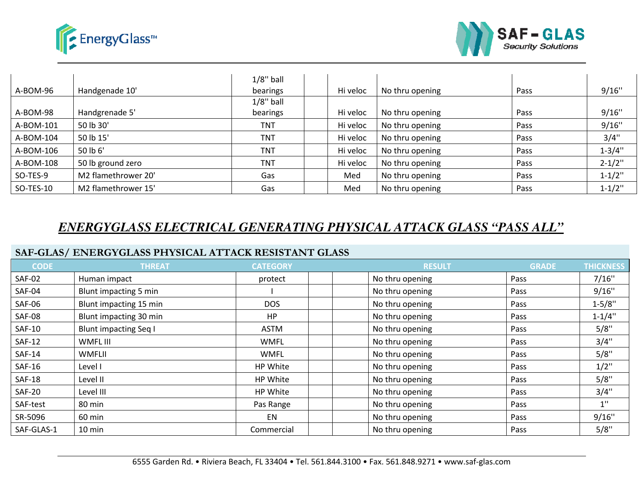



|           |                     | $1/8$ " ball |          |                 |      |             |
|-----------|---------------------|--------------|----------|-----------------|------|-------------|
| A-BOM-96  | Handgenade 10'      | bearings     | Hi veloc | No thru opening | Pass | 9/16"       |
|           |                     | $1/8$ " ball |          |                 |      |             |
| A-BOM-98  | Handgrenade 5'      | bearings     | Hi veloc | No thru opening | Pass | 9/16"       |
| A-BOM-101 | 50 lb 30'           | <b>TNT</b>   | Hi veloc | No thru opening | Pass | 9/16"       |
| A-BOM-104 | 50 lb 15'           | <b>TNT</b>   | Hi veloc | No thru opening | Pass | 3/4"        |
| A-BOM-106 | 50 lb 6'            | <b>TNT</b>   | Hi veloc | No thru opening | Pass | $1 - 3/4"$  |
| A-BOM-108 | 50 lb ground zero   | <b>TNT</b>   | Hi veloc | No thru opening | Pass | $2 - 1/2"$  |
| SO-TES-9  | M2 flamethrower 20' | Gas          | Med      | No thru opening | Pass | $1 - 1/2$ " |
| SO-TES-10 | M2 flamethrower 15' | Gas          | Med      | No thru opening | Pass | $1 - 1/2$ " |

### *ENERGYGLASS ELECTRICAL GENERATING PHYSICAL ATTACK GLASSGLASS "PASS ALL"*

#### **SAF-GLAS/ ENERGYGLASS PHYSICAL ATTACK RESISTANT GLASSRESISTANT**

| A-BOM-96      | Handgenade 10'                                                            | bearings        | Hi veloc | No thru opening | Pass         | 9/16"            |
|---------------|---------------------------------------------------------------------------|-----------------|----------|-----------------|--------------|------------------|
|               |                                                                           | $1/8$ " ball    |          |                 |              |                  |
| A-BOM-98      | Handgrenade 5'                                                            | bearings        | Hi veloc | No thru opening | Pass         | 9/16"            |
| A-BOM-101     | 50 lb 30'                                                                 | <b>TNT</b>      | Hi veloc | No thru opening | Pass         | 9/16"            |
| A-BOM-104     | 50 lb 15'                                                                 | <b>TNT</b>      | Hi veloc | No thru opening | Pass         | 3/4"             |
| A-BOM-106     | 50 lb 6'                                                                  | <b>TNT</b>      | Hi veloc | No thru opening | Pass         | $1 - 3/4"$       |
| A-BOM-108     | 50 lb ground zero                                                         | <b>TNT</b>      | Hi veloc | No thru opening | Pass         | $2 - 1/2"$       |
| SO-TES-9      | M2 flamethrower 20'                                                       | Gas             | Med      | No thru opening | Pass         | $1 - 1/2$ "      |
| SO-TES-10     | M2 flamethrower 15'                                                       | Gas             | Med      | No thru opening | Pass         | $1 - 1/2$ "      |
|               | <u>ENERGYGLASS ELECTRICAL GENERATING PHYSICAL ATTACK GLASS "PASS ALL"</u> |                 |          |                 |              |                  |
|               | SAF-GLAS/ ENERGYGLASS PHYSICAL ATTACK RESISTANT GLASS                     |                 |          |                 |              |                  |
| <b>CODE</b>   | <b>THREAT</b>                                                             | <b>CATEGORY</b> |          | <b>RESULT</b>   | <b>GRADE</b> | <b>THICKNESS</b> |
| <b>SAF-02</b> | Human impact                                                              | protect         |          | No thru opening | Pass         | 7/16"            |
| <b>SAF-04</b> | Blunt impacting 5 min                                                     |                 |          | No thru opening | Pass         | 9/16"            |
| <b>SAF-06</b> | Blunt impacting 15 min                                                    | <b>DOS</b>      |          | No thru opening | Pass         | $1 - 5/8"$       |
| <b>SAF-08</b> | Blunt impacting 30 min                                                    | <b>HP</b>       |          | No thru opening | Pass         | $1 - 1/4"$       |
| <b>SAF-10</b> | <b>Blunt impacting Seq I</b>                                              | <b>ASTM</b>     |          | No thru opening | Pass         | 5/8"             |
| <b>SAF-12</b> | WMFL III                                                                  | <b>WMFL</b>     |          | No thru opening | Pass         | 3/4"             |
| <b>SAF-14</b> | <b>WMFLII</b>                                                             | <b>WMFL</b>     |          | No thru opening | Pass         | 5/8"             |
| <b>SAF-16</b> | Level I                                                                   | HP White        |          | No thru opening | Pass         | $1/2$ "          |
| <b>SAF-18</b> | Level II                                                                  | HP White        |          | No thru opening | Pass         | 5/8"             |
| <b>SAF-20</b> | Level III                                                                 | HP White        |          | No thru opening | Pass         | 3/4"             |
| SAF-test      | 80 min                                                                    | Pas Range       |          | No thru opening | Pass         | $1$ "            |
| SR-5096       | 60 min                                                                    | EN              |          | No thru opening | Pass         | 9/16"            |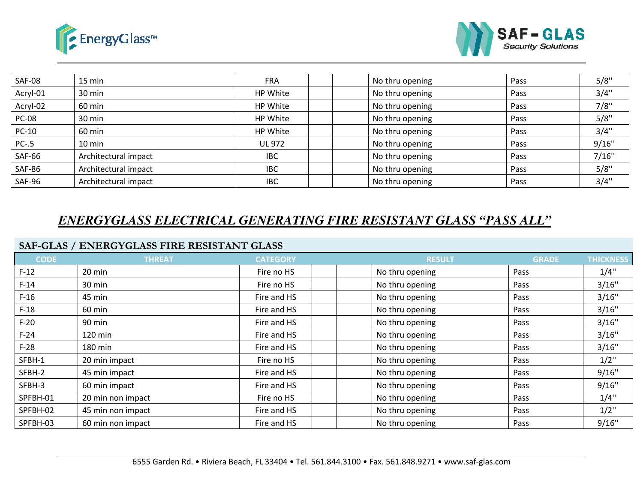



| SAF-08        | 15 min               | <b>FRA</b>    | No thru opening | Pass        | 5/8"  |
|---------------|----------------------|---------------|-----------------|-------------|-------|
| Acryl-01      | 30 min               | HP White      | No thru opening | Pass        | 3/4"  |
| Acryl-02      | 60 min               | HP White      | No thru opening | Pass        | 7/8"  |
| <b>PC-08</b>  | 30 min               | HP White      | No thru opening | Pass        | 5/8"  |
| PC-10         | 60 min               | HP White      | No thru opening | Pass        | 3/4"  |
| $PC-0.5$      | 10 min               | <b>UL 972</b> | No thru opening | Pass        | 9/16" |
| <b>SAF-66</b> | Architectural impact | <b>IBC</b>    | No thru opening | <b>Pass</b> | 7/16" |
| <b>SAF-86</b> | Architectural impact | <b>IBC</b>    | No thru opening | Pass        | 5/8"  |
| SAF-96        | Architectural impact | <b>IBC</b>    | No thru opening | Pass        | 3/4"  |

# *ENERGYGLASS ELECTRICAL GENERATING FIRE RESISTANT GLASS "PASS ALL"*

#### **SAF-GLAS / ENERGYGLASS FIRE RESISTANT GLASS**

| <b>SAF-08</b> | 15 min                                      | <b>FRA</b>      | No thru opening | Pass         | 5/8"             |
|---------------|---------------------------------------------|-----------------|-----------------|--------------|------------------|
| Acryl-01      | 30 min                                      | HP White        | No thru opening | Pass         | 3/4"             |
| Acryl-02      | 60 min                                      | HP White        | No thru opening | Pass         | 7/8"             |
| <b>PC-08</b>  | 30 min                                      | HP White        | No thru opening | Pass         | 5/8"             |
| <b>PC-10</b>  | 60 min                                      | HP White        | No thru opening | Pass         | 3/4"             |
| $PC-.5$       | 10 min                                      | <b>UL 972</b>   | No thru opening | Pass         | 9/16"            |
| <b>SAF-66</b> | Architectural impact                        | <b>IBC</b>      | No thru opening | Pass         | 7/16"            |
| <b>SAF-86</b> | Architectural impact                        | <b>IBC</b>      | No thru opening | Pass         | 5/8"             |
| <b>SAF-96</b> | Architectural impact                        | <b>IBC</b>      | No thru opening | Pass         | 3/4"             |
|               |                                             |                 |                 |              |                  |
|               | SAF-GLAS / ENERGYGLASS FIRE RESISTANT GLASS |                 |                 |              |                  |
| <b>CODE</b>   | <b>THREAT</b>                               | <b>CATEGORY</b> | <b>RESULT</b>   | <b>GRADE</b> | <b>THICKNESS</b> |
| $F-12$        | 20 min                                      | Fire no HS      | No thru opening | Pass         | 1/4"             |
| $F-14$        | 30 min                                      | Fire no HS      | No thru opening | Pass         | 3/16"            |
| $F-16$        | 45 min                                      | Fire and HS     | No thru opening | Pass         | 3/16"            |
| $F-18$        | 60 min                                      | Fire and HS     | No thru opening | Pass         | 3/16"            |
| $F-20$        | 90 min                                      | Fire and HS     | No thru opening | Pass         | 3/16"            |
| $F-24$        | 120 min                                     | Fire and HS     | No thru opening | Pass         | 3/16"            |
| $F-28$        | 180 min                                     | Fire and HS     | No thru opening | Pass         | 3/16"            |
| SFBH-1        | 20 min impact                               | Fire no HS      | No thru opening | Pass         | $1/2$ "          |
| SFBH-2        | 45 min impact                               | Fire and HS     | No thru opening | Pass         | 9/16"            |
| SFBH-3        | 60 min impact                               | Fire and HS     | No thru opening | Pass         | 9/16"            |
| SPFBH-01      | 20 min non impact                           | Fire no HS      | No thru opening | Pass         | 1/4"             |
| SPFBH-02      | 45 min non impact                           | Fire and HS     | No thru opening | Pass         | $1/2$ "          |